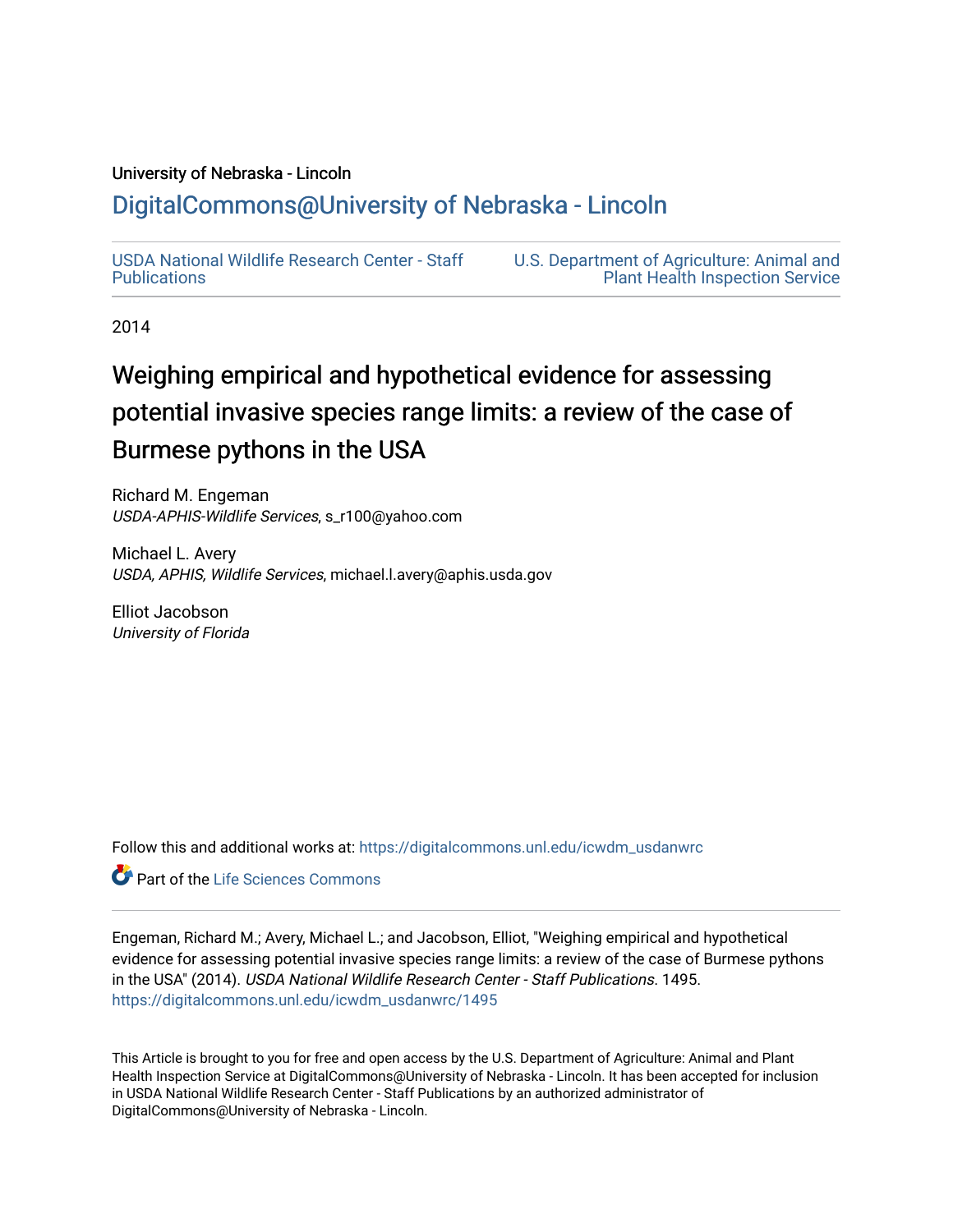## University of Nebraska - Lincoln

## [DigitalCommons@University of Nebraska - Lincoln](https://digitalcommons.unl.edu/)

[USDA National Wildlife Research Center - Staff](https://digitalcommons.unl.edu/icwdm_usdanwrc)  [Publications](https://digitalcommons.unl.edu/icwdm_usdanwrc) 

[U.S. Department of Agriculture: Animal and](https://digitalcommons.unl.edu/usdaaphis)  [Plant Health Inspection Service](https://digitalcommons.unl.edu/usdaaphis) 

2014

# Weighing empirical and hypothetical evidence for assessing potential invasive species range limits: a review of the case of Burmese pythons in the USA

Richard M. Engeman USDA-APHIS-Wildlife Services, s\_r100@yahoo.com

Michael L. Avery USDA, APHIS, Wildlife Services, michael.l.avery@aphis.usda.gov

Elliot Jacobson University of Florida

Follow this and additional works at: [https://digitalcommons.unl.edu/icwdm\\_usdanwrc](https://digitalcommons.unl.edu/icwdm_usdanwrc?utm_source=digitalcommons.unl.edu%2Ficwdm_usdanwrc%2F1495&utm_medium=PDF&utm_campaign=PDFCoverPages)

Part of the [Life Sciences Commons](http://network.bepress.com/hgg/discipline/1016?utm_source=digitalcommons.unl.edu%2Ficwdm_usdanwrc%2F1495&utm_medium=PDF&utm_campaign=PDFCoverPages) 

Engeman, Richard M.; Avery, Michael L.; and Jacobson, Elliot, "Weighing empirical and hypothetical evidence for assessing potential invasive species range limits: a review of the case of Burmese pythons in the USA" (2014). USDA National Wildlife Research Center - Staff Publications. 1495. [https://digitalcommons.unl.edu/icwdm\\_usdanwrc/1495](https://digitalcommons.unl.edu/icwdm_usdanwrc/1495?utm_source=digitalcommons.unl.edu%2Ficwdm_usdanwrc%2F1495&utm_medium=PDF&utm_campaign=PDFCoverPages) 

This Article is brought to you for free and open access by the U.S. Department of Agriculture: Animal and Plant Health Inspection Service at DigitalCommons@University of Nebraska - Lincoln. It has been accepted for inclusion in USDA National Wildlife Research Center - Staff Publications by an authorized administrator of DigitalCommons@University of Nebraska - Lincoln.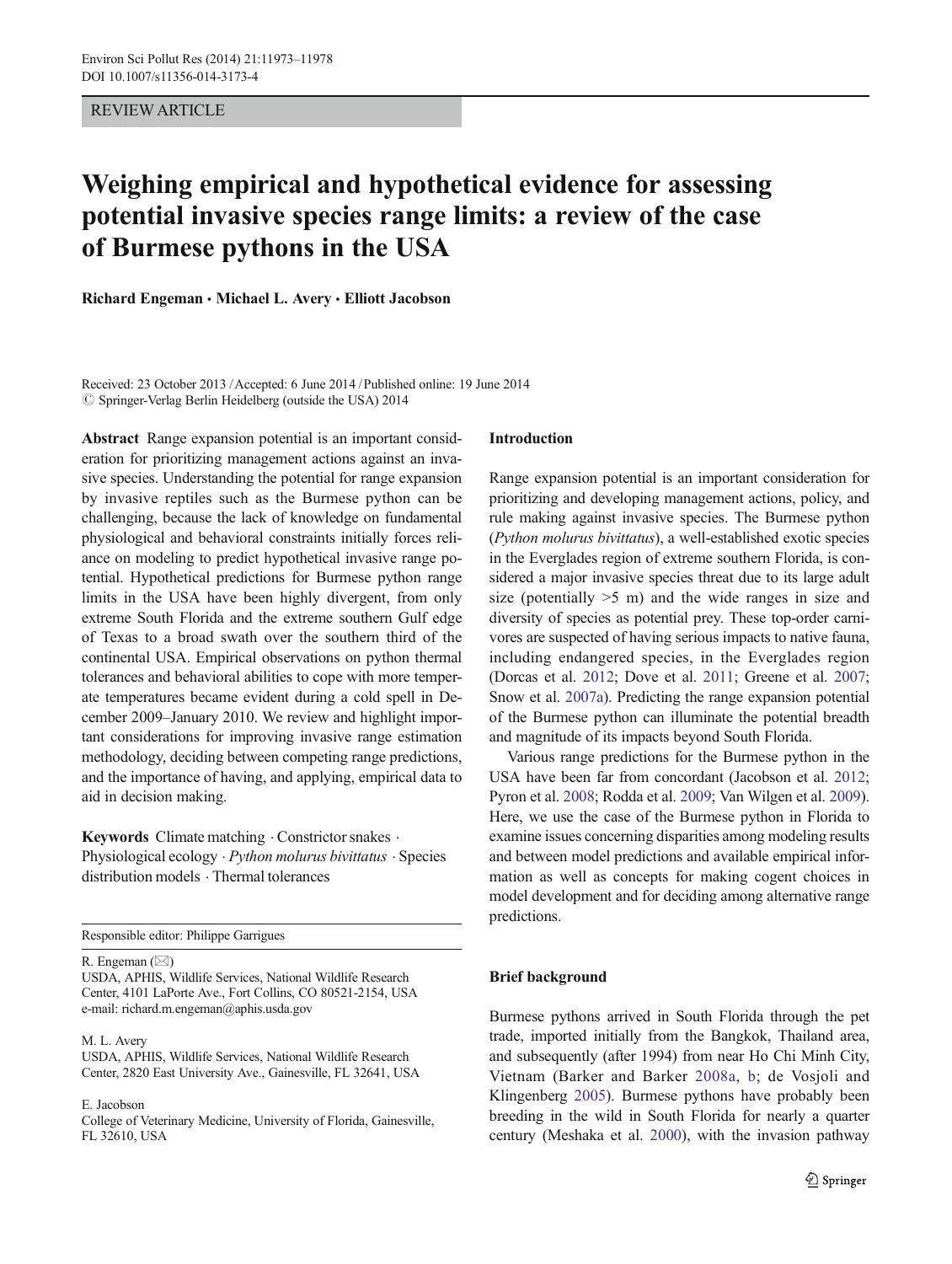REVIEW ARTICLE

## Weighing empirical and hypothetical evidence for assessing potential invasive species range limits: a review of the case of Burmese pythons in the USA

Richard Engeman • Michael L. Avery • Elliott Jacobson

Received: 23 October 2013 /Accepted: 6 June 2014 /Published online: 19 June 2014  $\oslash$  Springer-Verlag Berlin Heidelberg (outside the USA) 2014

Abstract Range expansion potential is an important consideration for prioritizing management actions against an invasive species. Understanding the potential for range expansion by invasive reptiles such as the Burmese python can be challenging, because the lack of knowledge on fundamental physiological and behavioral constraints initially forces reliance on modeling to predict hypothetical invasive range potential. Hypothetical predictions for Burmese python range limits in the USA have been highly divergent, from only extreme South Florida and the extreme southern Gulf edge of Texas to a broad swath over the southern third of the continental USA. Empirical observations on python thermal tolerances and behavioral abilities to cope with more temperate temperatures became evident during a cold spell in December 2009–January 2010. We review and highlight important considerations for improving invasive range estimation methodology, deciding between competing range predictions, and the importance of having, and applying, empirical data to aid in decision making.

Keywords Climate matching  $\cdot$  Constrictor snakes  $\cdot$ Physiological ecology . Python molurus bivittatus . Species distribution models . Thermal tolerances

Responsible editor: Philippe Garrigues

R. Engeman  $(\boxtimes)$ 

USDA, APHIS, Wildlife Services, National Wildlife Research Center, 4101 LaPorte Ave., Fort Collins, CO 80521-2154, USA e-mail: richard.m.engeman@aphis.usda.gov

M. L. Avery

USDA, APHIS, Wildlife Services, National Wildlife Research Center, 2820 East University Ave., Gainesville, FL 32641, USA

E. Jacobson

College of Veterinary Medicine, University of Florida, Gainesville, FL 32610, USA

## Introduction

Range expansion potential is an important consideration for prioritizing and developing management actions, policy, and rule making against invasive species. The Burmese python (Python molurus bivittatus), a well-established exotic species in the Everglades region of extreme southern Florida, is considered a major invasive species threat due to its large adult size (potentially  $>5$  m) and the wide ranges in size and diversity of species as potential prey. These top-order carnivores are suspected of having serious impacts to native fauna, including endangered species, in the Everglades region (Dorcas et al. [2012](#page-6-0); Dove et al. [2011](#page-6-0); Greene et al. [2007;](#page-6-0) Snow et al. [2007a\)](#page-6-0). Predicting the range expansion potential of the Burmese python can illuminate the potential breadth and magnitude of its impacts beyond South Florida.

Various range predictions for the Burmese python in the USA have been far from concordant (Jacobson et al. [2012;](#page-6-0) Pyron et al. [2008](#page-6-0); Rodda et al. [2009](#page-6-0); Van Wilgen et al. [2009\)](#page-6-0). Here, we use the case of the Burmese python in Florida to examine issues concerning disparities among modeling results and between model predictions and available empirical information as well as concepts for making cogent choices in model development and for deciding among alternative range predictions.

### Brief background

Burmese pythons arrived in South Florida through the pet trade, imported initially from the Bangkok, Thailand area, and subsequently (after 1994) from near Ho Chi Minh City, Vietnam (Barker and Barker [2008a,](#page-5-0) [b](#page-5-0); de Vosjoli and Klingenberg [2005](#page-6-0)). Burmese pythons have probably been breeding in the wild in South Florida for nearly a quarter century (Meshaka et al. [2000\)](#page-6-0), with the invasion pathway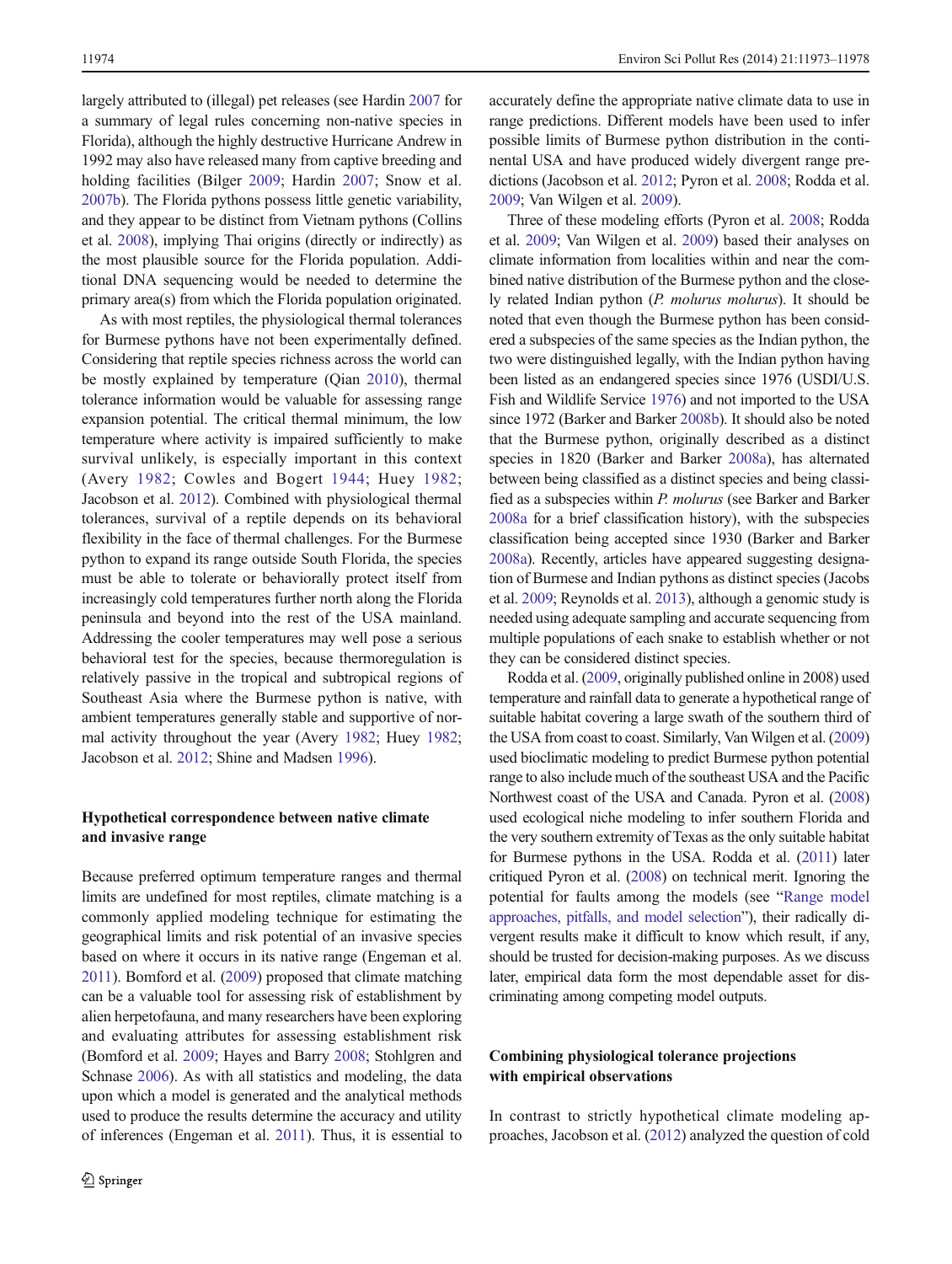largely attributed to (illegal) pet releases (see Hardin [2007](#page-6-0) for a summary of legal rules concerning non-native species in Florida), although the highly destructive Hurricane Andrew in 1992 may also have released many from captive breeding and holding facilities (Bilger [2009;](#page-5-0) Hardin [2007](#page-6-0); Snow et al. [2007b](#page-6-0)). The Florida pythons possess little genetic variability, and they appear to be distinct from Vietnam pythons (Collins et al. [2008](#page-5-0)), implying Thai origins (directly or indirectly) as the most plausible source for the Florida population. Additional DNA sequencing would be needed to determine the primary area(s) from which the Florida population originated.

As with most reptiles, the physiological thermal tolerances for Burmese pythons have not been experimentally defined. Considering that reptile species richness across the world can be mostly explained by temperature (Qian [2010](#page-6-0)), thermal tolerance information would be valuable for assessing range expansion potential. The critical thermal minimum, the low temperature where activity is impaired sufficiently to make survival unlikely, is especially important in this context (Avery [1982](#page-5-0); Cowles and Bogert [1944;](#page-6-0) Huey [1982](#page-6-0); Jacobson et al. [2012\)](#page-6-0). Combined with physiological thermal tolerances, survival of a reptile depends on its behavioral flexibility in the face of thermal challenges. For the Burmese python to expand its range outside South Florida, the species must be able to tolerate or behaviorally protect itself from increasingly cold temperatures further north along the Florida peninsula and beyond into the rest of the USA mainland. Addressing the cooler temperatures may well pose a serious behavioral test for the species, because thermoregulation is relatively passive in the tropical and subtropical regions of Southeast Asia where the Burmese python is native, with ambient temperatures generally stable and supportive of normal activity throughout the year (Avery [1982](#page-5-0); Huey [1982](#page-6-0); Jacobson et al. [2012](#page-6-0); Shine and Madsen [1996](#page-6-0)).

## Hypothetical correspondence between native climate and invasive range

Because preferred optimum temperature ranges and thermal limits are undefined for most reptiles, climate matching is a commonly applied modeling technique for estimating the geographical limits and risk potential of an invasive species based on where it occurs in its native range (Engeman et al. [2011](#page-6-0)). Bomford et al. [\(2009\)](#page-5-0) proposed that climate matching can be a valuable tool for assessing risk of establishment by alien herpetofauna, and many researchers have been exploring and evaluating attributes for assessing establishment risk (Bomford et al. [2009](#page-5-0); Hayes and Barry [2008;](#page-6-0) Stohlgren and Schnase [2006\)](#page-6-0). As with all statistics and modeling, the data upon which a model is generated and the analytical methods used to produce the results determine the accuracy and utility of inferences (Engeman et al. [2011\)](#page-6-0). Thus, it is essential to

accurately define the appropriate native climate data to use in range predictions. Different models have been used to infer possible limits of Burmese python distribution in the continental USA and have produced widely divergent range predictions (Jacobson et al. [2012;](#page-6-0) Pyron et al. [2008](#page-6-0); Rodda et al. [2009;](#page-6-0) Van Wilgen et al. [2009\)](#page-6-0).

Three of these modeling efforts (Pyron et al. [2008](#page-6-0); Rodda et al. [2009](#page-6-0); Van Wilgen et al. [2009](#page-6-0)) based their analyses on climate information from localities within and near the combined native distribution of the Burmese python and the closely related Indian python (P. molurus molurus). It should be noted that even though the Burmese python has been considered a subspecies of the same species as the Indian python, the two were distinguished legally, with the Indian python having been listed as an endangered species since 1976 (USDI/U.S. Fish and Wildlife Service [1976](#page-6-0)) and not imported to the USA since 1972 (Barker and Barker [2008b\)](#page-5-0). It should also be noted that the Burmese python, originally described as a distinct species in 1820 (Barker and Barker [2008a\)](#page-5-0), has alternated between being classified as a distinct species and being classified as a subspecies within P. molurus (see Barker and Barker [2008a](#page-5-0) for a brief classification history), with the subspecies classification being accepted since 1930 (Barker and Barker [2008a\)](#page-5-0). Recently, articles have appeared suggesting designation of Burmese and Indian pythons as distinct species (Jacobs et al. [2009;](#page-6-0) Reynolds et al. [2013](#page-6-0)), although a genomic study is needed using adequate sampling and accurate sequencing from multiple populations of each snake to establish whether or not they can be considered distinct species.

Rodda et al. [\(2009](#page-6-0), originally published online in 2008) used temperature and rainfall data to generate a hypothetical range of suitable habitat covering a large swath of the southern third of the USA from coast to coast. Similarly, Van Wilgen et al. ([2009](#page-6-0)) used bioclimatic modeling to predict Burmese python potential range to also include much of the southeast USA and the Pacific Northwest coast of the USA and Canada. Pyron et al. [\(2008](#page-6-0)) used ecological niche modeling to infer southern Florida and the very southern extremity of Texas as the only suitable habitat for Burmese pythons in the USA. Rodda et al. ([2011\)](#page-6-0) later critiqued Pyron et al. [\(2008](#page-6-0)) on technical merit. Ignoring the potential for faults among the models (see "[Range model](#page-3-0) [approaches, pitfalls, and model selection](#page-3-0)"), their radically divergent results make it difficult to know which result, if any, should be trusted for decision-making purposes. As we discuss later, empirical data form the most dependable asset for discriminating among competing model outputs.

## Combining physiological tolerance projections with empirical observations

In contrast to strictly hypothetical climate modeling approaches, Jacobson et al. ([2012](#page-6-0)) analyzed the question of cold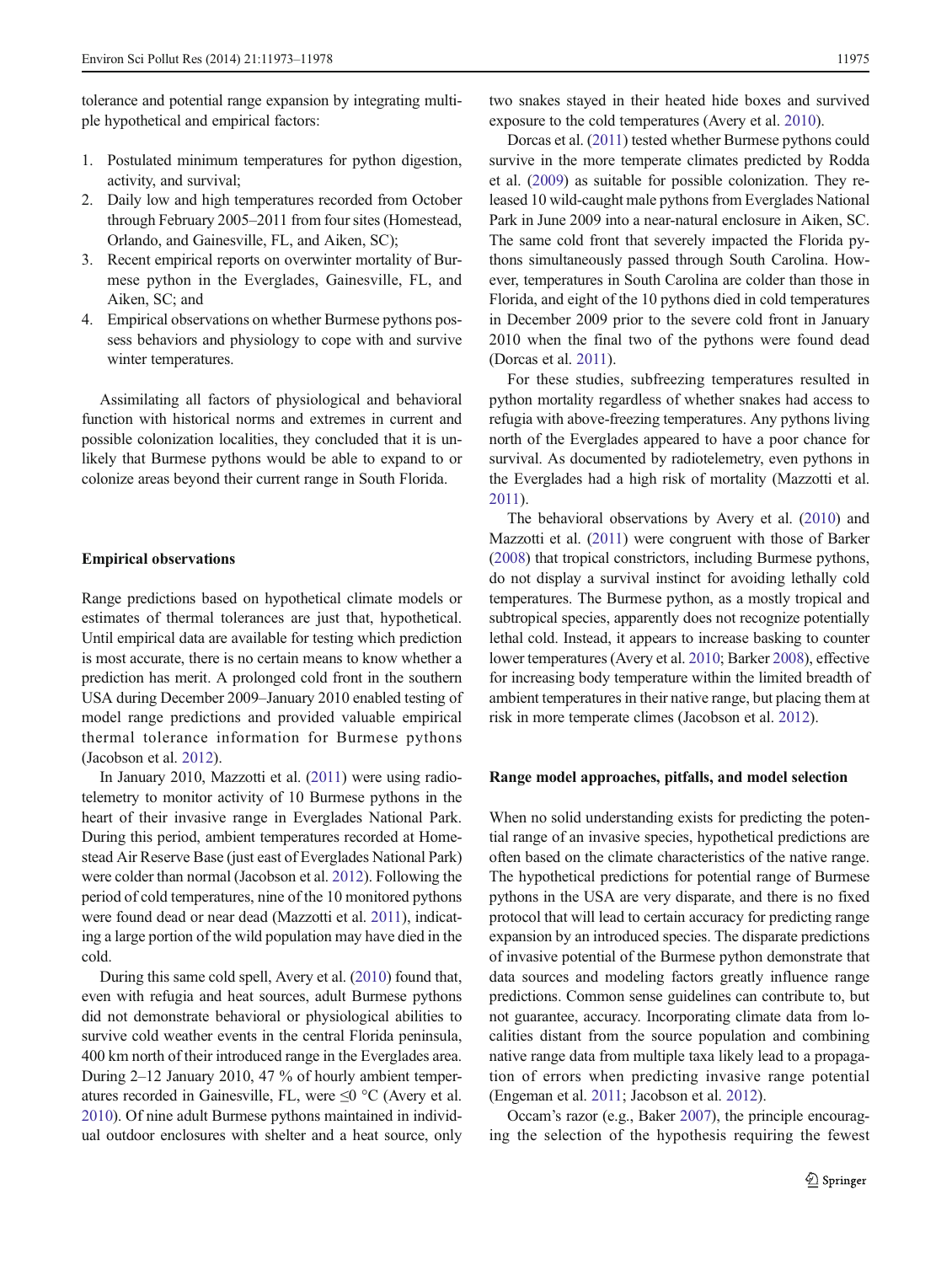<span id="page-3-0"></span>tolerance and potential range expansion by integrating multiple hypothetical and empirical factors:

- 1. Postulated minimum temperatures for python digestion, activity, and survival;
- 2. Daily low and high temperatures recorded from October through February 2005–2011 from four sites (Homestead, Orlando, and Gainesville, FL, and Aiken, SC);
- 3. Recent empirical reports on overwinter mortality of Burmese python in the Everglades, Gainesville, FL, and Aiken, SC; and
- 4. Empirical observations on whether Burmese pythons possess behaviors and physiology to cope with and survive winter temperatures.

Assimilating all factors of physiological and behavioral function with historical norms and extremes in current and possible colonization localities, they concluded that it is unlikely that Burmese pythons would be able to expand to or colonize areas beyond their current range in South Florida.

#### Empirical observations

Range predictions based on hypothetical climate models or estimates of thermal tolerances are just that, hypothetical. Until empirical data are available for testing which prediction is most accurate, there is no certain means to know whether a prediction has merit. A prolonged cold front in the southern USA during December 2009–January 2010 enabled testing of model range predictions and provided valuable empirical thermal tolerance information for Burmese pythons (Jacobson et al. [2012\)](#page-6-0).

In January 2010, Mazzotti et al. ([2011\)](#page-6-0) were using radiotelemetry to monitor activity of 10 Burmese pythons in the heart of their invasive range in Everglades National Park. During this period, ambient temperatures recorded at Homestead Air Reserve Base (just east of Everglades National Park) were colder than normal (Jacobson et al. [2012\)](#page-6-0). Following the period of cold temperatures, nine of the 10 monitored pythons were found dead or near dead (Mazzotti et al. [2011](#page-6-0)), indicating a large portion of the wild population may have died in the cold.

During this same cold spell, Avery et al. [\(2010\)](#page-5-0) found that, even with refugia and heat sources, adult Burmese pythons did not demonstrate behavioral or physiological abilities to survive cold weather events in the central Florida peninsula, 400 km north of their introduced range in the Everglades area. During 2–12 January 2010, 47 % of hourly ambient temperatures recorded in Gainesville, FL, were  $\leq 0$  °C (Avery et al. [2010\)](#page-5-0). Of nine adult Burmese pythons maintained in individual outdoor enclosures with shelter and a heat source, only

two snakes stayed in their heated hide boxes and survived exposure to the cold temperatures (Avery et al. [2010\)](#page-5-0).

Dorcas et al. ([2011\)](#page-6-0) tested whether Burmese pythons could survive in the more temperate climates predicted by Rodda et al. [\(2009\)](#page-6-0) as suitable for possible colonization. They released 10 wild-caught male pythons from Everglades National Park in June 2009 into a near-natural enclosure in Aiken, SC. The same cold front that severely impacted the Florida pythons simultaneously passed through South Carolina. However, temperatures in South Carolina are colder than those in Florida, and eight of the 10 pythons died in cold temperatures in December 2009 prior to the severe cold front in January 2010 when the final two of the pythons were found dead (Dorcas et al. [2011](#page-6-0)).

For these studies, subfreezing temperatures resulted in python mortality regardless of whether snakes had access to refugia with above-freezing temperatures. Any pythons living north of the Everglades appeared to have a poor chance for survival. As documented by radiotelemetry, even pythons in the Everglades had a high risk of mortality (Mazzotti et al. [2011](#page-6-0)).

The behavioral observations by Avery et al. [\(2010\)](#page-5-0) and Mazzotti et al. ([2011\)](#page-6-0) were congruent with those of Barker [\(2008\)](#page-5-0) that tropical constrictors, including Burmese pythons, do not display a survival instinct for avoiding lethally cold temperatures. The Burmese python, as a mostly tropical and subtropical species, apparently does not recognize potentially lethal cold. Instead, it appears to increase basking to counter lower temperatures (Avery et al. [2010;](#page-5-0) Barker [2008](#page-5-0)), effective for increasing body temperature within the limited breadth of ambient temperatures in their native range, but placing them at risk in more temperate climes (Jacobson et al. [2012\)](#page-6-0).

#### Range model approaches, pitfalls, and model selection

When no solid understanding exists for predicting the potential range of an invasive species, hypothetical predictions are often based on the climate characteristics of the native range. The hypothetical predictions for potential range of Burmese pythons in the USA are very disparate, and there is no fixed protocol that will lead to certain accuracy for predicting range expansion by an introduced species. The disparate predictions of invasive potential of the Burmese python demonstrate that data sources and modeling factors greatly influence range predictions. Common sense guidelines can contribute to, but not guarantee, accuracy. Incorporating climate data from localities distant from the source population and combining native range data from multiple taxa likely lead to a propagation of errors when predicting invasive range potential (Engeman et al. [2011](#page-6-0); Jacobson et al. [2012](#page-6-0)).

Occam's razor (e.g., Baker [2007](#page-5-0)), the principle encouraging the selection of the hypothesis requiring the fewest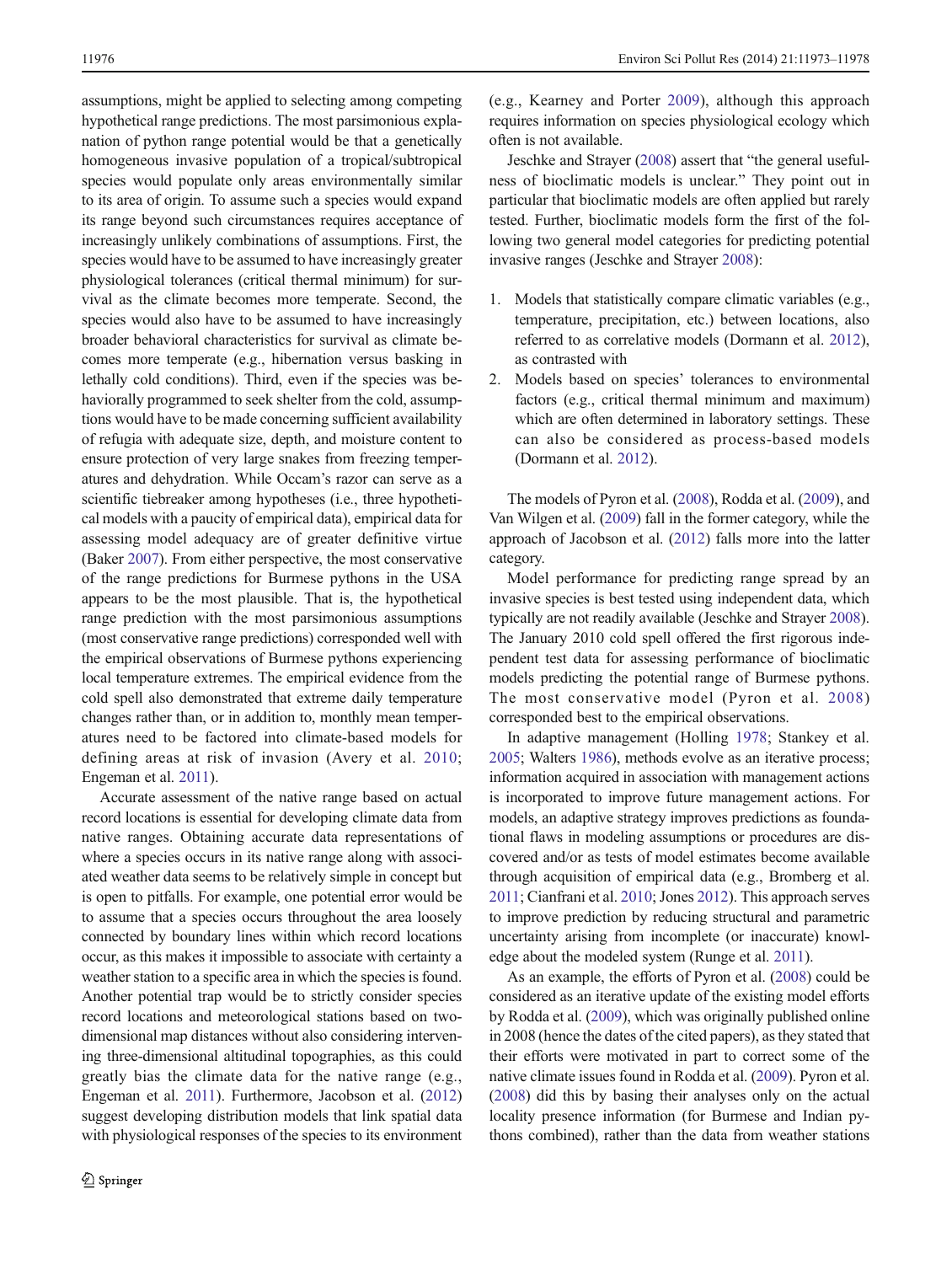assumptions, might be applied to selecting among competing hypothetical range predictions. The most parsimonious explanation of python range potential would be that a genetically homogeneous invasive population of a tropical/subtropical species would populate only areas environmentally similar to its area of origin. To assume such a species would expand its range beyond such circumstances requires acceptance of increasingly unlikely combinations of assumptions. First, the species would have to be assumed to have increasingly greater physiological tolerances (critical thermal minimum) for survival as the climate becomes more temperate. Second, the species would also have to be assumed to have increasingly broader behavioral characteristics for survival as climate becomes more temperate (e.g., hibernation versus basking in lethally cold conditions). Third, even if the species was behaviorally programmed to seek shelter from the cold, assumptions would have to be made concerning sufficient availability of refugia with adequate size, depth, and moisture content to ensure protection of very large snakes from freezing temperatures and dehydration. While Occam's razor can serve as a scientific tiebreaker among hypotheses (i.e., three hypothetical models with a paucity of empirical data), empirical data for assessing model adequacy are of greater definitive virtue (Baker [2007](#page-5-0)). From either perspective, the most conservative of the range predictions for Burmese pythons in the USA appears to be the most plausible. That is, the hypothetical range prediction with the most parsimonious assumptions (most conservative range predictions) corresponded well with the empirical observations of Burmese pythons experiencing local temperature extremes. The empirical evidence from the cold spell also demonstrated that extreme daily temperature changes rather than, or in addition to, monthly mean temperatures need to be factored into climate-based models for defining areas at risk of invasion (Avery et al. [2010](#page-5-0); Engeman et al. [2011](#page-6-0)).

Accurate assessment of the native range based on actual record locations is essential for developing climate data from native ranges. Obtaining accurate data representations of where a species occurs in its native range along with associated weather data seems to be relatively simple in concept but is open to pitfalls. For example, one potential error would be to assume that a species occurs throughout the area loosely connected by boundary lines within which record locations occur, as this makes it impossible to associate with certainty a weather station to a specific area in which the species is found. Another potential trap would be to strictly consider species record locations and meteorological stations based on twodimensional map distances without also considering intervening three-dimensional altitudinal topographies, as this could greatly bias the climate data for the native range (e.g., Engeman et al. [2011](#page-6-0)). Furthermore, Jacobson et al. [\(2012\)](#page-6-0) suggest developing distribution models that link spatial data with physiological responses of the species to its environment

(e.g., Kearney and Porter [2009](#page-6-0)), although this approach requires information on species physiological ecology which often is not available.

Jeschke and Strayer ([2008](#page-6-0)) assert that "the general usefulness of bioclimatic models is unclear." They point out in particular that bioclimatic models are often applied but rarely tested. Further, bioclimatic models form the first of the following two general model categories for predicting potential invasive ranges (Jeschke and Strayer [2008](#page-6-0)):

- 1. Models that statistically compare climatic variables (e.g., temperature, precipitation, etc.) between locations, also referred to as correlative models (Dormann et al. [2012\)](#page-6-0), as contrasted with
- 2. Models based on species' tolerances to environmental factors (e.g., critical thermal minimum and maximum) which are often determined in laboratory settings. These can also be considered as process-based models (Dormann et al. [2012\)](#page-6-0).

The models of Pyron et al. [\(2008\)](#page-6-0), Rodda et al. ([2009](#page-6-0)), and Van Wilgen et al. [\(2009\)](#page-6-0) fall in the former category, while the approach of Jacobson et al. ([2012](#page-6-0)) falls more into the latter category.

Model performance for predicting range spread by an invasive species is best tested using independent data, which typically are not readily available (Jeschke and Strayer [2008\)](#page-6-0). The January 2010 cold spell offered the first rigorous independent test data for assessing performance of bioclimatic models predicting the potential range of Burmese pythons. The most conservative model (Pyron et al. [2008](#page-6-0)) corresponded best to the empirical observations.

In adaptive management (Holling [1978](#page-6-0); Stankey et al. [2005;](#page-6-0) Walters [1986\)](#page-6-0), methods evolve as an iterative process; information acquired in association with management actions is incorporated to improve future management actions. For models, an adaptive strategy improves predictions as foundational flaws in modeling assumptions or procedures are discovered and/or as tests of model estimates become available through acquisition of empirical data (e.g., Bromberg et al. [2011](#page-5-0); Cianfrani et al. [2010](#page-5-0); Jones [2012\)](#page-6-0). This approach serves to improve prediction by reducing structural and parametric uncertainty arising from incomplete (or inaccurate) knowledge about the modeled system (Runge et al. [2011\)](#page-6-0).

As an example, the efforts of Pyron et al. [\(2008\)](#page-6-0) could be considered as an iterative update of the existing model efforts by Rodda et al. ([2009](#page-6-0)), which was originally published online in 2008 (hence the dates of the cited papers), as they stated that their efforts were motivated in part to correct some of the native climate issues found in Rodda et al. [\(2009\)](#page-6-0). Pyron et al. [\(2008\)](#page-6-0) did this by basing their analyses only on the actual locality presence information (for Burmese and Indian pythons combined), rather than the data from weather stations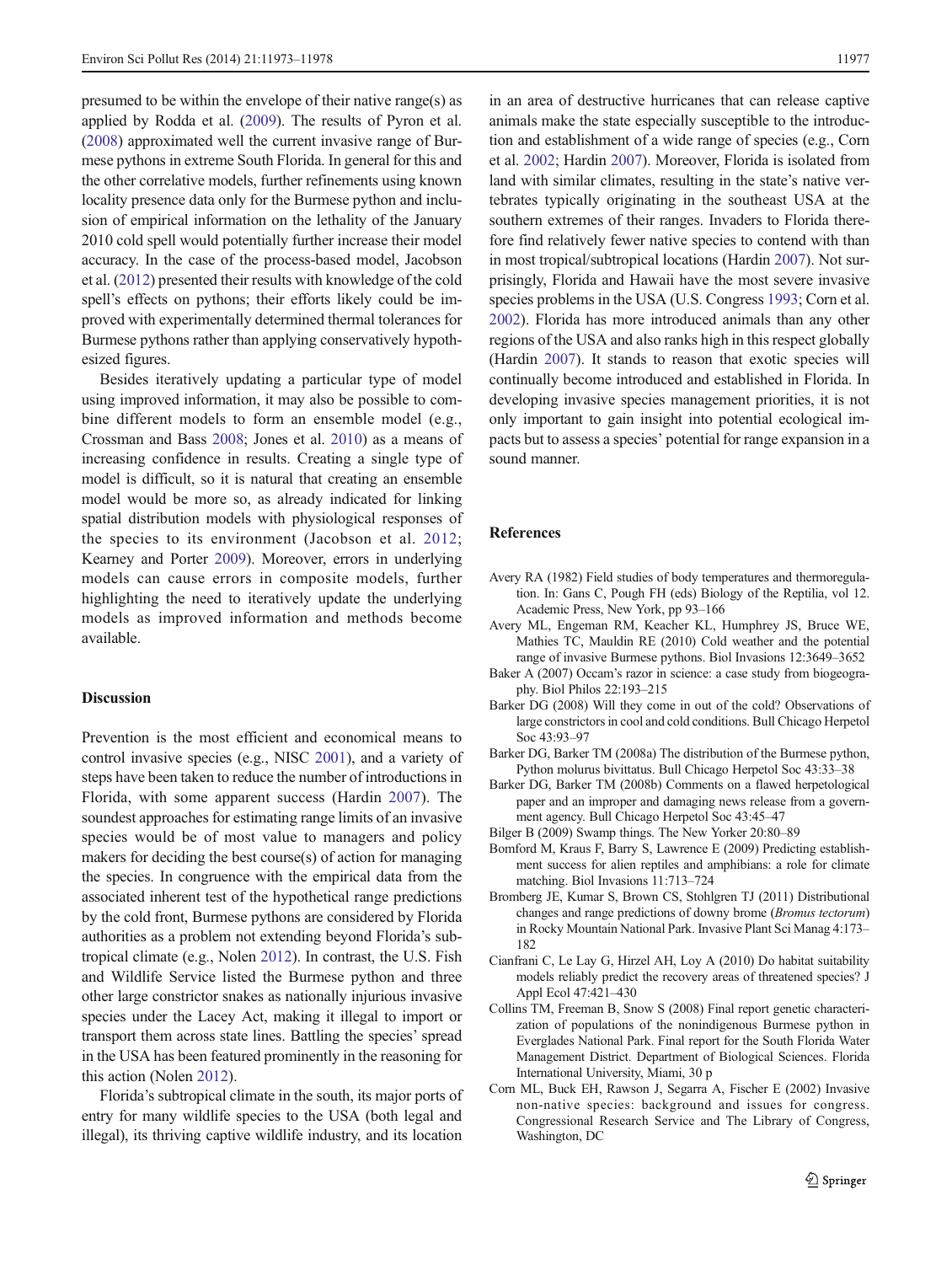<span id="page-5-0"></span>presumed to be within the envelope of their native range(s) as applied by Rodda et al. [\(2009\)](#page-6-0). The results of Pyron et al. [\(2008\)](#page-6-0) approximated well the current invasive range of Burmese pythons in extreme South Florida. In general for this and the other correlative models, further refinements using known locality presence data only for the Burmese python and inclusion of empirical information on the lethality of the January 2010 cold spell would potentially further increase their model accuracy. In the case of the process-based model, Jacobson et al. [\(2012\)](#page-6-0) presented their results with knowledge of the cold spell's effects on pythons; their efforts likely could be improved with experimentally determined thermal tolerances for Burmese pythons rather than applying conservatively hypothesized figures.

Besides iteratively updating a particular type of model using improved information, it may also be possible to combine different models to form an ensemble model (e.g., Crossman and Bass [2008](#page-6-0); Jones et al. [2010\)](#page-6-0) as a means of increasing confidence in results. Creating a single type of model is difficult, so it is natural that creating an ensemble model would be more so, as already indicated for linking spatial distribution models with physiological responses of the species to its environment (Jacobson et al. [2012](#page-6-0); Kearney and Porter [2009\)](#page-6-0). Moreover, errors in underlying models can cause errors in composite models, further highlighting the need to iteratively update the underlying models as improved information and methods become available.

#### Discussion

Prevention is the most efficient and economical means to control invasive species (e.g., NISC [2001\)](#page-6-0), and a variety of steps have been taken to reduce the number of introductions in Florida, with some apparent success (Hardin [2007](#page-6-0)). The soundest approaches for estimating range limits of an invasive species would be of most value to managers and policy makers for deciding the best course(s) of action for managing the species. In congruence with the empirical data from the associated inherent test of the hypothetical range predictions by the cold front, Burmese pythons are considered by Florida authorities as a problem not extending beyond Florida's subtropical climate (e.g., Nolen [2012\)](#page-6-0). In contrast, the U.S. Fish and Wildlife Service listed the Burmese python and three other large constrictor snakes as nationally injurious invasive species under the Lacey Act, making it illegal to import or transport them across state lines. Battling the species' spread in the USA has been featured prominently in the reasoning for this action (Nolen [2012\)](#page-6-0).

Florida's subtropical climate in the south, its major ports of entry for many wildlife species to the USA (both legal and illegal), its thriving captive wildlife industry, and its location

in an area of destructive hurricanes that can release captive animals make the state especially susceptible to the introduction and establishment of a wide range of species (e.g., Corn et al. 2002; Hardin [2007\)](#page-6-0). Moreover, Florida is isolated from land with similar climates, resulting in the state's native vertebrates typically originating in the southeast USA at the southern extremes of their ranges. Invaders to Florida therefore find relatively fewer native species to contend with than in most tropical/subtropical locations (Hardin [2007](#page-6-0)). Not surprisingly, Florida and Hawaii have the most severe invasive species problems in the USA (U.S. Congress [1993;](#page-6-0) Corn et al. 2002). Florida has more introduced animals than any other regions of the USA and also ranks high in this respect globally (Hardin [2007](#page-6-0)). It stands to reason that exotic species will continually become introduced and established in Florida. In developing invasive species management priorities, it is not only important to gain insight into potential ecological impacts but to assess a species' potential for range expansion in a sound manner.

## References

- Avery RA (1982) Field studies of body temperatures and thermoregulation. In: Gans C, Pough FH (eds) Biology of the Reptilia, vol 12. Academic Press, New York, pp 93–166
- Avery ML, Engeman RM, Keacher KL, Humphrey JS, Bruce WE, Mathies TC, Mauldin RE (2010) Cold weather and the potential range of invasive Burmese pythons. Biol Invasions 12:3649–3652
- Baker A (2007) Occam's razor in science: a case study from biogeography. Biol Philos 22:193–215
- Barker DG (2008) Will they come in out of the cold? Observations of large constrictors in cool and cold conditions. Bull Chicago Herpetol Soc 43:93–97
- Barker DG, Barker TM (2008a) The distribution of the Burmese python, Python molurus bivittatus. Bull Chicago Herpetol Soc 43:33–38
- Barker DG, Barker TM (2008b) Comments on a flawed herpetological paper and an improper and damaging news release from a government agency. Bull Chicago Herpetol Soc 43:45–47
- Bilger B (2009) Swamp things. The New Yorker 20:80–89
- Bomford M, Kraus F, Barry S, Lawrence E (2009) Predicting establishment success for alien reptiles and amphibians: a role for climate matching. Biol Invasions 11:713–724
- Bromberg JE, Kumar S, Brown CS, Stohlgren TJ (2011) Distributional changes and range predictions of downy brome (Bromus tectorum) in Rocky Mountain National Park. Invasive Plant Sci Manag 4:173– 182
- Cianfrani C, Le Lay G, Hirzel AH, Loy A (2010) Do habitat suitability models reliably predict the recovery areas of threatened species? J Appl Ecol 47:421–430
- Collins TM, Freeman B, Snow S (2008) Final report genetic characterization of populations of the nonindigenous Burmese python in Everglades National Park. Final report for the South Florida Water Management District. Department of Biological Sciences. Florida International University, Miami, 30 p
- Corn ML, Buck EH, Rawson J, Segarra A, Fischer E (2002) Invasive non-native species: background and issues for congress. Congressional Research Service and The Library of Congress, Washington, DC